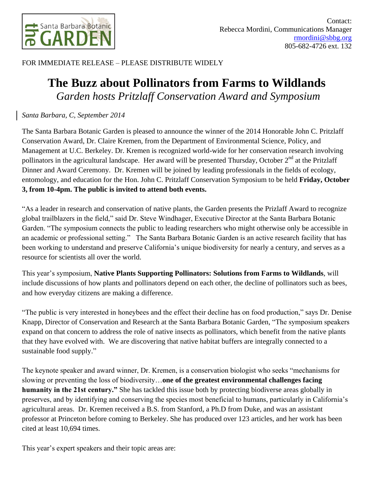

FOR IMMEDIATE RELEASE – PLEASE DISTRIBUTE WIDELY

## **The Buzz about Pollinators from Farms to Wildlands** *Garden hosts Pritzlaff Conservation Award and Symposium*

## *Santa Barbara, C, September 2014*

The Santa Barbara Botanic Garden is pleased to announce the winner of the 2014 Honorable John C. Pritzlaff Conservation Award, Dr. Claire Kremen, from the Department of Environmental Science, Policy, and Management at U.C. Berkeley. Dr. Kremen is recognized world-wide for her conservation research involving pollinators in the agricultural landscape. Her award will be presented Thursday, October 2<sup>nd</sup> at the Pritzlaff Dinner and Award Ceremony. Dr. Kremen will be joined by leading professionals in the fields of ecology, entomology, and education for the Hon. John C. Pritzlaff Conservation Symposium to be held **Friday, October 3, from 10-4pm. The public is invited to attend both events.**

"As a leader in research and conservation of native plants, the Garden presents the Prizlaff Award to recognize global trailblazers in the field," said Dr. Steve Windhager, Executive Director at the Santa Barbara Botanic Garden. "The symposium connects the public to leading researchers who might otherwise only be accessible in an academic or professional setting." The Santa Barbara Botanic Garden is an active research facility that has been working to understand and preserve California's unique biodiversity for nearly a century, and serves as a resource for scientists all over the world.

This year's symposium, **Native Plants Supporting Pollinators: Solutions from Farms to Wildlands**, will include discussions of how plants and pollinators depend on each other, the decline of pollinators such as bees, and how everyday citizens are making a difference.

"The public is very interested in honeybees and the effect their decline has on food production," says Dr. Denise Knapp, Director of Conservation and Research at the Santa Barbara Botanic Garden, "The symposium speakers expand on that concern to address the role of native insects as pollinators, which benefit from the native plants that they have evolved with. We are discovering that native habitat buffers are integrally connected to a sustainable food supply."

The keynote speaker and award winner, Dr. Kremen, is a conservation biologist who seeks "mechanisms for slowing or preventing the loss of biodiversity…**one of the greatest environmental challenges facing humanity in the 21st century."** She has tackled this issue both by protecting biodiverse areas globally in preserves, and by identifying and conserving the species most beneficial to humans, particularly in California's agricultural areas. Dr. Kremen received a B.S. from Stanford, a Ph.D from Duke, and was an assistant professor at Princeton before coming to Berkeley. She has produced over 123 articles, and her work has been cited at least 10,694 times.

This year's expert speakers and their topic areas are: